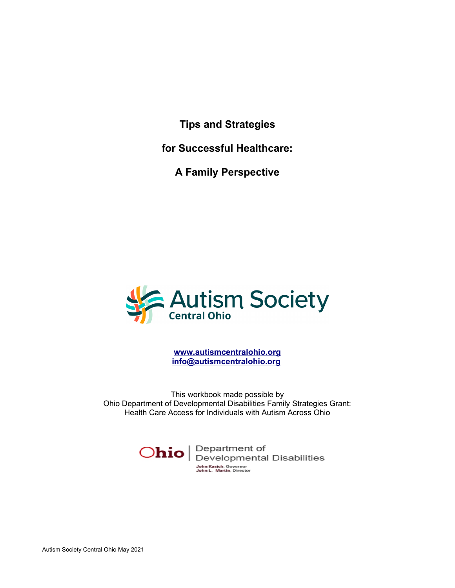**Tips and Strategies**

**for Successful Healthcare:**

**A Family Perspective**



**[www.autismcentralohio.org](http://www.autismcentralohio.org/) [info@autismcentralohio.org](mailto:info@autismcentralohio.org)**

This workbook made possible by Ohio Department of Developmental Disabilities Family Strategies Grant: Health Care Access for Individuals with Autism Across Ohio

> Ohio | Department of<br>Developmental Disabilities **John Kasich, Governor<br>John L. Martin, Director**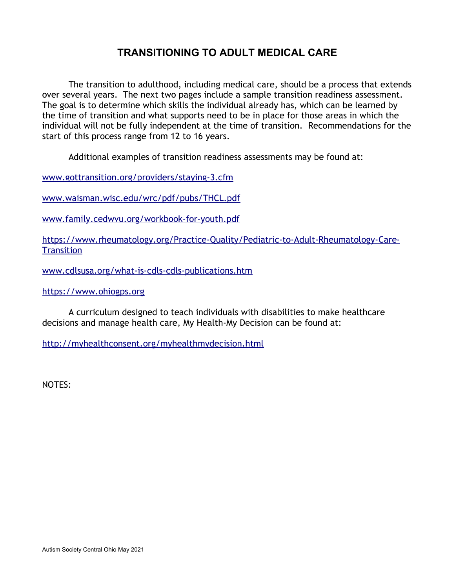# **TRANSITIONING TO ADULT MEDICAL CARE**

The transition to adulthood, including medical care, should be a process that extends over several years. The next two pages include a sample transition readiness assessment. The goal is to determine which skills the individual already has, which can be learned by the time of transition and what supports need to be in place for those areas in which the individual will not be fully independent at the time of transition. Recommendations for the start of this process range from 12 to 16 years.

Additional examples of transition readiness assessments may be found at:

[www.gottransition.org/providers/staying-3.cfm](http://www.gottransition.org/providers/staying-3.cfm)

[www.waisman.wisc.edu/wrc/pdf/pubs/THCL.pdf](http://www.waisman.wisc.edu/wrc/pdf/pubs/THCL.pdf)

[www.family.cedwvu.org/workbook-for-youth.pdf](http://www.family.cedwvu.org/workbook-for-youth.pdf)

<https://www.rheumatology.org/Practice-Quality/Pediatric-to-Adult-Rheumatology->[Care-](https://www.rheumatology.org/Practice-Quality/Pediatric-to-Adult-Rheumatology-Care-Transition)**[Transition](https://www.rheumatology.org/Practice-Quality/Pediatric-to-Adult-Rheumatology-Care-Transition)** 

[www.cdlsusa.org/what-is-cdls-cdls-publications.htm](http://www.cdlsusa.org/what-is-cdls-cdls-publications.htm)

[https://www.ohiogps.org](https://www.ohiogps.org/)

A curriculum designed to teach individuals with disabilities to make healthcare decisions and manage health care, My Health-My Decision can be found at:

<http://myhealthconsent.org/myhealthmydecision.html>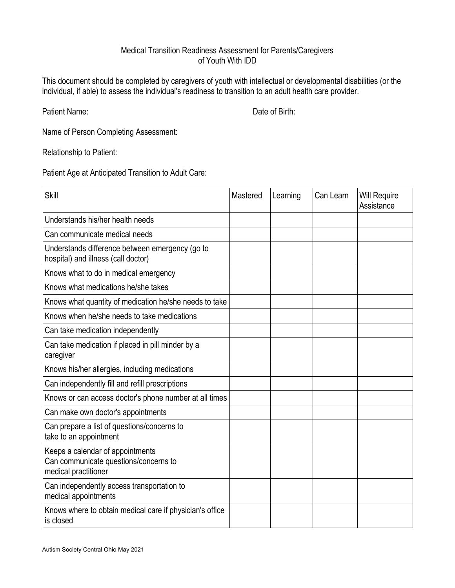## Medical Transition Readiness Assessment for Parents/Caregivers of Youth With IDD

This document should be completed by caregivers of youth with intellectual or developmental disabilities (or the individual, if able) to assess the individual's readiness to transition to an adult health care provider.

Patient Name: **Date of Birth:** Date of Birth:

Name of Person Completing Assessment:

Relationship to Patient:

Patient Age at Anticipated Transition to Adult Care:

| <b>Skill</b>                                                                                      | Mastered | Learning | Can Learn | <b>Will Require</b><br>Assistance |
|---------------------------------------------------------------------------------------------------|----------|----------|-----------|-----------------------------------|
| Understands his/her health needs                                                                  |          |          |           |                                   |
| Can communicate medical needs                                                                     |          |          |           |                                   |
| Understands difference between emergency (go to<br>hospital) and illness (call doctor)            |          |          |           |                                   |
| Knows what to do in medical emergency                                                             |          |          |           |                                   |
| Knows what medications he/she takes                                                               |          |          |           |                                   |
| Knows what quantity of medication he/she needs to take                                            |          |          |           |                                   |
| Knows when he/she needs to take medications                                                       |          |          |           |                                   |
| Can take medication independently                                                                 |          |          |           |                                   |
| Can take medication if placed in pill minder by a<br>caregiver                                    |          |          |           |                                   |
| Knows his/her allergies, including medications                                                    |          |          |           |                                   |
| Can independently fill and refill prescriptions                                                   |          |          |           |                                   |
| Knows or can access doctor's phone number at all times                                            |          |          |           |                                   |
| Can make own doctor's appointments                                                                |          |          |           |                                   |
| Can prepare a list of questions/concerns to<br>take to an appointment                             |          |          |           |                                   |
| Keeps a calendar of appointments<br>Can communicate questions/concerns to<br>medical practitioner |          |          |           |                                   |
| Can independently access transportation to<br>medical appointments                                |          |          |           |                                   |
| Knows where to obtain medical care if physician's office<br>is closed                             |          |          |           |                                   |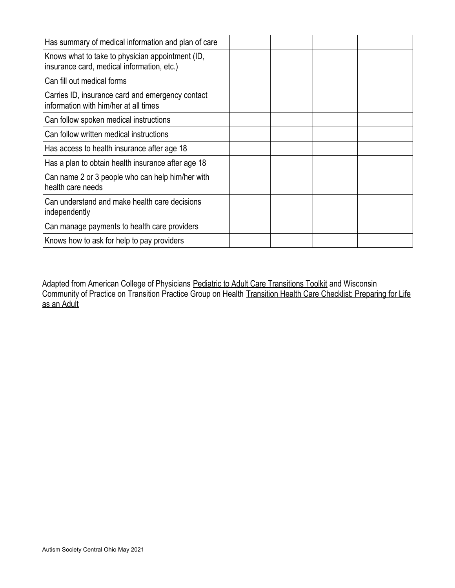| Has summary of medical information and plan of care                                            |  |  |
|------------------------------------------------------------------------------------------------|--|--|
| Knows what to take to physician appointment (ID,<br>insurance card, medical information, etc.) |  |  |
| Can fill out medical forms                                                                     |  |  |
| Carries ID, insurance card and emergency contact<br>information with him/her at all times      |  |  |
| Can follow spoken medical instructions                                                         |  |  |
| Can follow written medical instructions                                                        |  |  |
| Has access to health insurance after age 18                                                    |  |  |
| Has a plan to obtain health insurance after age 18                                             |  |  |
| Can name 2 or 3 people who can help him/her with<br>health care needs                          |  |  |
| Can understand and make health care decisions<br>independently                                 |  |  |
| Can manage payments to health care providers                                                   |  |  |
| Knows how to ask for help to pay providers                                                     |  |  |

Adapted from American College of Physicians Pediatric to Adult Care Transitions Toolkit and Wisconsin Community of Practice on Transition Practice Group on Health Transition Health Care Checklist: Preparing for Life as an Adult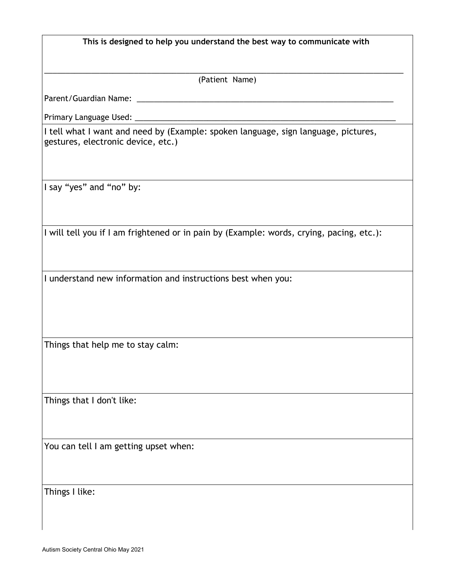| This is designed to help you understand the best way to communicate with                                                 |
|--------------------------------------------------------------------------------------------------------------------------|
|                                                                                                                          |
| (Patient Name)                                                                                                           |
| Parent/Guardian Name: ________<br>the control of the control of the control of the control of the control of             |
| Primary Language Used: ____                                                                                              |
| I tell what I want and need by (Example: spoken language, sign language, pictures,<br>gestures, electronic device, etc.) |
| I say "yes" and "no" by:                                                                                                 |
| I will tell you if I am frightened or in pain by (Example: words, crying, pacing, etc.):                                 |
| I understand new information and instructions best when you:                                                             |
| Things that help me to stay calm:                                                                                        |
| Things that I don't like:                                                                                                |
| You can tell I am getting upset when:                                                                                    |
| Things I like:                                                                                                           |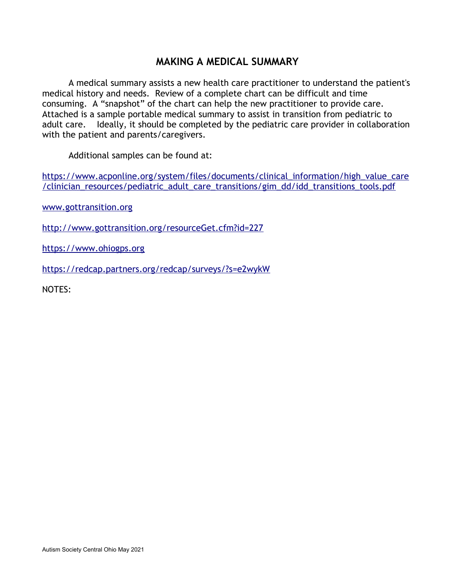# **MAKING A MEDICAL SUMMARY**

A medical summary assists a new health care practitioner to understand the patient's medical history and needs. Review of a complete chart can be difficult and time consuming. A "snapshot" of the chart can help the new practitioner to provide care. Attached is a sample portable medical summary to assist in transition from pediatric to adult care. Ideally, it should be completed by the pediatric care provider in collaboration with the patient and parents/caregivers.

Additional samples can be found at:

[https://www.acponline.org/system/files/documents/clinical\\_information/high\\_value\\_care](https://www.acponline.org/system/files/documents/clinical_information/high_value_care/clinician_resources/pediatric_adult_care_transitions/gim_dd/idd_transitions_tools.pdf) [/clinician\\_resources/pediatric\\_adult\\_care\\_transitions/gim\\_dd/idd\\_transitions\\_tools.pdf](https://www.acponline.org/system/files/documents/clinical_information/high_value_care/clinician_resources/pediatric_adult_care_transitions/gim_dd/idd_transitions_tools.pdf)

[www.gottransition.org](http://www.gottransition.org/)

<http://www.gottransition.org/resourceGet.cfm?id=227>

[https://www.ohiogps.org](https://www.ohiogps.org/)

<https://redcap.partners.org/redcap/surveys/?s=e2wykW>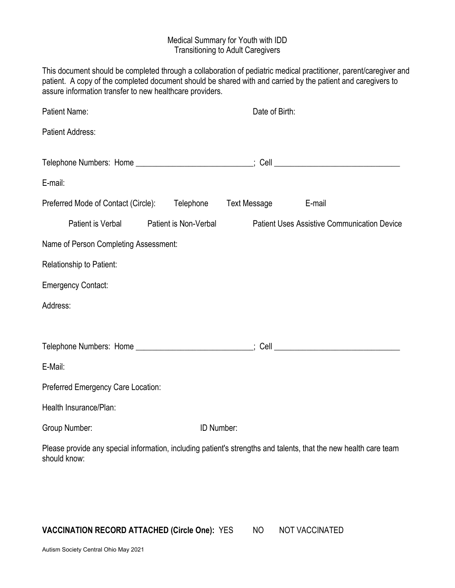## Medical Summary for Youth with IDD Transitioning to Adult Caregivers

This document should be completed through a collaboration of pediatric medical practitioner, parent/caregiver and patient. A copy of the completed document should be shared with and carried by the patient and caregivers to assure information transfer to new healthcare providers.

| Patient Name:                                                                                                                    |                       | Date of Birth: |                                                    |  |
|----------------------------------------------------------------------------------------------------------------------------------|-----------------------|----------------|----------------------------------------------------|--|
| <b>Patient Address:</b>                                                                                                          |                       |                |                                                    |  |
| Telephone Numbers: Home __________________________; Cell _______________________                                                 |                       |                |                                                    |  |
| E-mail:                                                                                                                          |                       |                |                                                    |  |
| Preferred Mode of Contact (Circle): Telephone                                                                                    |                       | Text Message   | E-mail                                             |  |
| Patient is Verbal                                                                                                                | Patient is Non-Verbal |                | <b>Patient Uses Assistive Communication Device</b> |  |
| Name of Person Completing Assessment:                                                                                            |                       |                |                                                    |  |
| Relationship to Patient:                                                                                                         |                       |                |                                                    |  |
| <b>Emergency Contact:</b>                                                                                                        |                       |                |                                                    |  |
| Address:                                                                                                                         |                       |                |                                                    |  |
|                                                                                                                                  |                       |                |                                                    |  |
| Telephone Numbers: Home __________________________; Cell ________________________                                                |                       |                |                                                    |  |
| E-Mail:                                                                                                                          |                       |                |                                                    |  |
| Preferred Emergency Care Location:                                                                                               |                       |                |                                                    |  |
| Health Insurance/Plan:                                                                                                           |                       |                |                                                    |  |
| Group Number:                                                                                                                    | ID Number:            |                |                                                    |  |
| Please provide any special information, including patient's strengths and talents, that the new health care team<br>should know: |                       |                |                                                    |  |

# **VACCINATION RECORD ATTACHED (Circle One): YES NO NOT VACCINATED**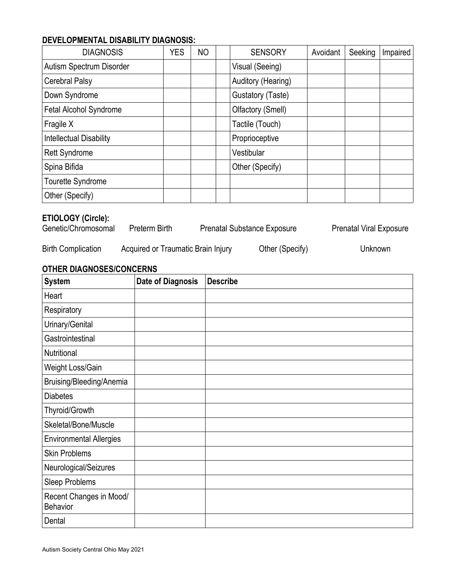# **DEVELOPMENTAL DISABILITY DIAGNOSIS:**

| <b>DIAGNOSIS</b>               | <b>YES</b> | <b>NO</b> | <b>SENSORY</b>     | Avoidant | Seeking | Impaired |
|--------------------------------|------------|-----------|--------------------|----------|---------|----------|
| Autism Spectrum Disorder       |            |           | Visual (Seeing)    |          |         |          |
| Cerebral Palsy                 |            |           | Auditory (Hearing) |          |         |          |
| Down Syndrome                  |            |           | Gustatory (Taste)  |          |         |          |
| Fetal Alcohol Syndrome         |            |           | Olfactory (Smell)  |          |         |          |
| Fragile X                      |            |           | Tactile (Touch)    |          |         |          |
| <b>Intellectual Disability</b> |            |           | Proprioceptive     |          |         |          |
| <b>Rett Syndrome</b>           |            |           | Vestibular         |          |         |          |
| Spina Bifida                   |            |           | Other (Specify)    |          |         |          |
| Tourette Syndrome              |            |           |                    |          |         |          |
| Other (Specify)                |            |           |                    |          |         |          |

# **ETIOLOGY (Circle):**

| Genetic/Chromosomal | Preterm Birth | <b>Prenatal Substance Exposure</b> | <b>Prenatal Viral Exposure</b> |
|---------------------|---------------|------------------------------------|--------------------------------|
|                     |               |                                    |                                |

| <b>Birth Complication</b> | Acquired or Traumatic Brain Injury | Other (Specify) | Unknown |
|---------------------------|------------------------------------|-----------------|---------|
|---------------------------|------------------------------------|-----------------|---------|

# **OTHER DIAGNOSES/CONCERNS**

| <b>System</b>                              | <b>Date of Diagnosis</b> | <b>Describe</b> |
|--------------------------------------------|--------------------------|-----------------|
| Heart                                      |                          |                 |
| Respiratory                                |                          |                 |
| Urinary/Genital                            |                          |                 |
| Gastrointestinal                           |                          |                 |
| Nutritional                                |                          |                 |
| Weight Loss/Gain                           |                          |                 |
| Bruising/Bleeding/Anemia                   |                          |                 |
| <b>Diabetes</b>                            |                          |                 |
| Thyroid/Growth                             |                          |                 |
| Skeletal/Bone/Muscle                       |                          |                 |
| <b>Environmental Allergies</b>             |                          |                 |
| <b>Skin Problems</b>                       |                          |                 |
| Neurological/Seizures                      |                          |                 |
| Sleep Problems                             |                          |                 |
| Recent Changes in Mood/<br><b>Behavior</b> |                          |                 |
| Dental                                     |                          |                 |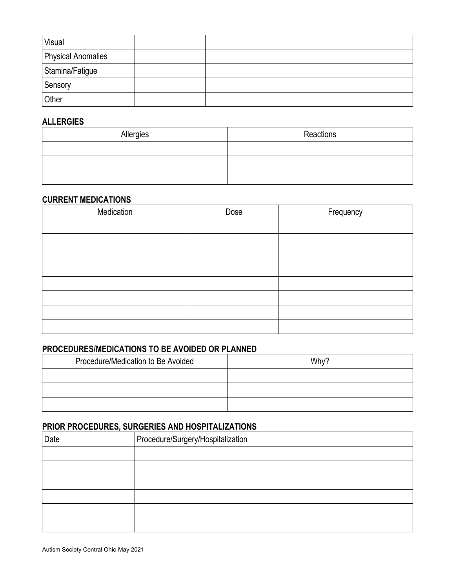| Visual                    |  |
|---------------------------|--|
| <b>Physical Anomalies</b> |  |
| Stamina/Fatigue           |  |
| Sensory                   |  |
| Other                     |  |

# **ALLERGIES**

| Allergies | Reactions |
|-----------|-----------|
|           |           |
|           |           |
|           |           |

## **CURRENT MEDICATIONS**

| Medication | Dose | Frequency |
|------------|------|-----------|
|            |      |           |
|            |      |           |
|            |      |           |
|            |      |           |
|            |      |           |
|            |      |           |
|            |      |           |
|            |      |           |

## **PROCEDURES/MEDICATIONS TO BE AVOIDED OR PLANNED**

| Procedure/Medication to Be Avoided | Why? |
|------------------------------------|------|
|                                    |      |
|                                    |      |
|                                    |      |

## **PRIOR PROCEDURES, SURGERIES AND HOSPITALIZATIONS**

| Date | Procedure/Surgery/Hospitalization |
|------|-----------------------------------|
|      |                                   |
|      |                                   |
|      |                                   |
|      |                                   |
|      |                                   |
|      |                                   |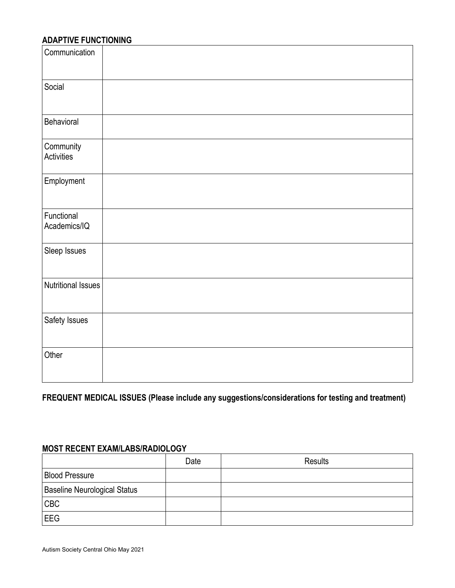## **ADAPTIVE FUNCTIONING**

| , , , , , , , , ,<br>Communication | ,,,,,,,,, |
|------------------------------------|-----------|
|                                    |           |
|                                    |           |
|                                    |           |
| Social                             |           |
|                                    |           |
|                                    |           |
| Behavioral                         |           |
|                                    |           |
|                                    |           |
| Community<br>Activities            |           |
|                                    |           |
|                                    |           |
| Employment                         |           |
|                                    |           |
|                                    |           |
| Functional                         |           |
| Academics/IQ                       |           |
|                                    |           |
| Sleep Issues                       |           |
|                                    |           |
|                                    |           |
| <b>Nutritional Issues</b>          |           |
|                                    |           |
|                                    |           |
|                                    |           |
| Safety Issues                      |           |
|                                    |           |
|                                    |           |
| Other                              |           |
|                                    |           |
|                                    |           |

**FREQUENT MEDICAL ISSUES (Please include any suggestions/considerations for testing and treatment)** 

## **MOST RECENT EXAM/LABS/RADIOLOGY**

|                                     | Date | Results |
|-------------------------------------|------|---------|
| <b>Blood Pressure</b>               |      |         |
| <b>Baseline Neurological Status</b> |      |         |
| <b>CBC</b>                          |      |         |
| <b>EEG</b>                          |      |         |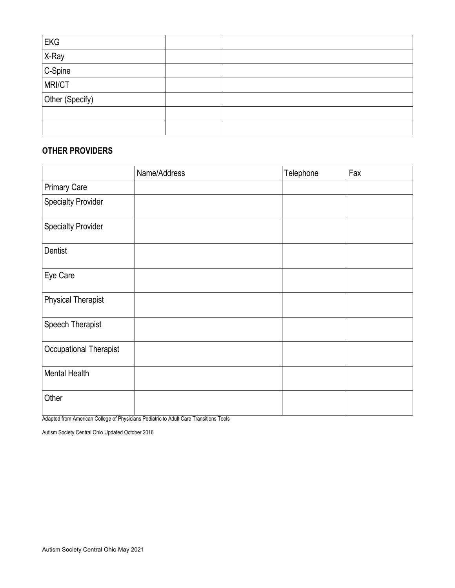| EKG             |  |
|-----------------|--|
| X-Ray           |  |
| C-Spine         |  |
| MRI/CT          |  |
| Other (Specify) |  |
|                 |  |
|                 |  |

# **OTHER PROVIDERS**

|                           | Name/Address | Telephone | Fax |
|---------------------------|--------------|-----------|-----|
| <b>Primary Care</b>       |              |           |     |
| <b>Specialty Provider</b> |              |           |     |
| <b>Specialty Provider</b> |              |           |     |
| Dentist                   |              |           |     |
| Eye Care                  |              |           |     |
| <b>Physical Therapist</b> |              |           |     |
| Speech Therapist          |              |           |     |
| Occupational Therapist    |              |           |     |
| Mental Health             |              |           |     |
| Other                     |              |           |     |

Adapted from American College of Physicians Pediatric to Adult Care Transitions Tools

Autism Society Central Ohio Updated October 2016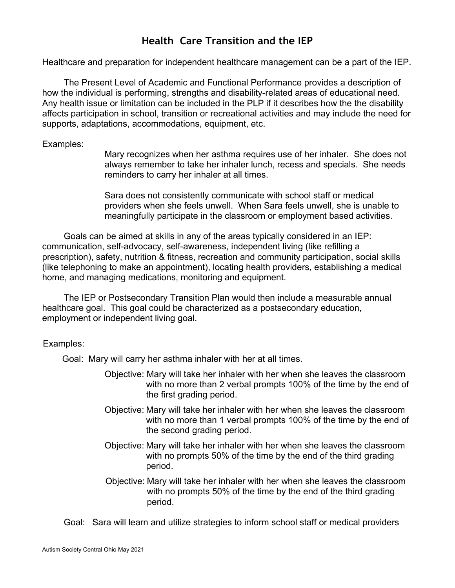# **Health Care Transition and the IEP**

Healthcare and preparation for independent healthcare management can be a part of the IEP.

The Present Level of Academic and Functional Performance provides a description of how the individual is performing, strengths and disability-related areas of educational need. Any health issue or limitation can be included in the PLP if it describes how the the disability affects participation in school, transition or recreational activities and may include the need for supports, adaptations, accommodations, equipment, etc.

### Examples:

Mary recognizes when her asthma requires use of her inhaler. She does not always remember to take her inhaler lunch, recess and specials. She needs reminders to carry her inhaler at all times.

Sara does not consistently communicate with school staff or medical providers when she feels unwell. When Sara feels unwell, she is unable to meaningfully participate in the classroom or employment based activities.

Goals can be aimed at skills in any of the areas typically considered in an IEP: communication, self-advocacy, self-awareness, independent living (like refilling a prescription), safety, nutrition & fitness, recreation and community participation, social skills (like telephoning to make an appointment), locating health providers, establishing a medical home, and managing medications, monitoring and equipment.

The IEP or Postsecondary Transition Plan would then include a measurable annual healthcare goal. This goal could be characterized as a postsecondary education, employment or independent living goal.

## Examples:

Goal: Mary will carry her asthma inhaler with her at all times.

- Objective: Mary will take her inhaler with her when she leaves the classroom with no more than 2 verbal prompts 100% of the time by the end of the first grading period.
- Objective: Mary will take her inhaler with her when she leaves the classroom with no more than 1 verbal prompts 100% of the time by the end of the second grading period.
- Objective: Mary will take her inhaler with her when she leaves the classroom with no prompts 50% of the time by the end of the third grading period.
- Objective: Mary will take her inhaler with her when she leaves the classroom with no prompts 50% of the time by the end of the third grading period.
- Goal: Sara will learn and utilize strategies to inform school staff or medical providers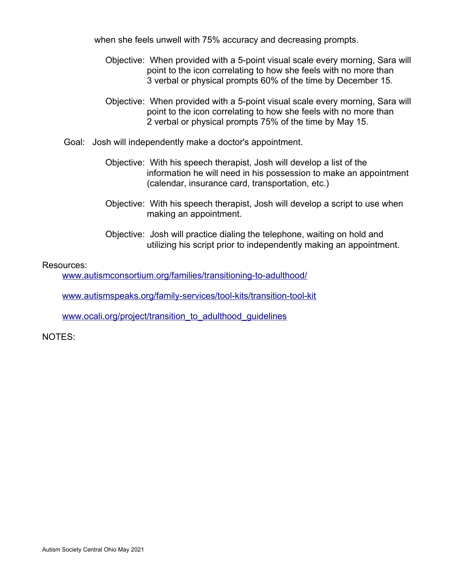when she feels unwell with 75% accuracy and decreasing prompts.

- Objective: When provided with a 5-point visual scale every morning, Sara will point to the icon correlating to how she feels with no more than 3 verbal or physical prompts 60% of the time by December 15.
- Objective: When provided with a 5-point visual scale every morning, Sara will point to the icon correlating to how she feels with no more than 2 verbal or physical prompts 75% of the time by May 15.
- Goal: Josh will independently make a doctor's appointment.
	- Objective: With his speech therapist, Josh will develop a list of the information he will need in his possession to make an appointment (calendar, insurance card, transportation, etc.)
	- Objective: With his speech therapist, Josh will develop a script to use when making an appointment.
	- Objective: Josh will practice dialing the telephone, waiting on hold and utilizing his script prior to independently making an appointment.

## Resources:

[www.autismconsortium.org/families/transitioning-to-adulthood/](http://www.autismconsortium.org/families/transitioning-to-adulthood/)

[www.autismspeaks.org/family-services/tool-kits/transition-tool-kit](http://www.autismspeaks.org/family-services/tool-kits/transition-tool-kit)

[www.ocali.org/project/transition\\_to\\_adulthood\\_guidelines](http://www.ocali.org/project/transition_to_adulthood_guidelines)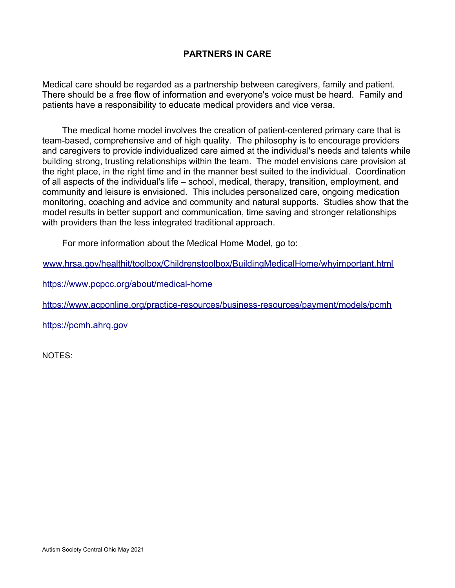## **PARTNERS IN CARE**

Medical care should be regarded as a partnership between caregivers, family and patient. There should be a free flow of information and everyone's voice must be heard. Family and patients have a responsibility to educate medical providers and vice versa.

The medical home model involves the creation of patient-centered primary care that is team-based, comprehensive and of high quality. The philosophy is to encourage providers and caregivers to provide individualized care aimed at the individual's needs and talents while building strong, trusting relationships within the team. The model envisions care provision at the right place, in the right time and in the manner best suited to the individual. Coordination of all aspects of the individual's life – school, medical, therapy, transition, employment, and community and leisure is envisioned. This includes personalized care, ongoing medication monitoring, coaching and advice and community and natural supports. Studies show that the model results in better support and communication, time saving and stronger relationships with providers than the less integrated traditional approach.

For more information about the Medical Home Model, go to:

[www.hrsa.gov/healthit/toolbox/Childrenstoolbox/BuildingMedicalHome/whyimportant.html](http://www.hrsa.gov/healthit/toolbox/Childrenstoolbox/BuildingMedicalHome/whyimportant.html)

<https://www.pcpcc.org/about/medical-home>

<https://www.acponline.org/practice-resources/business-resources/payment/models/pcmh>

[https://pcmh.ahrq.gov](https://pcmh.ahrq.gov/)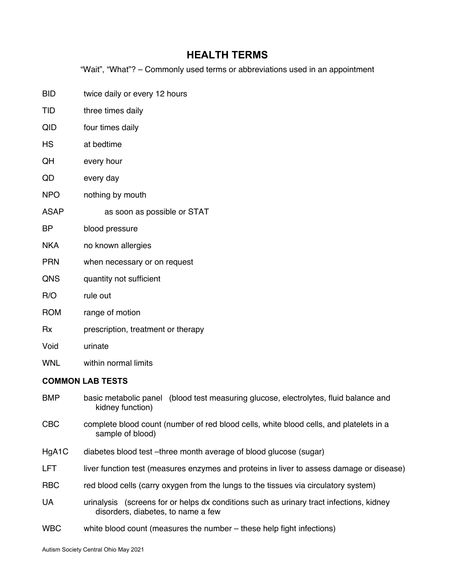# **HEALTH TERMS**

"Wait", "What"? – Commonly used terms or abbreviations used in an appointment

- BID twice daily or every 12 hours
- TID three times daily
- QID four times daily
- HS at bedtime
- QH every hour
- QD every day
- NPO nothing by mouth
- ASAP as soon as possible or STAT
- BP blood pressure
- NKA no known allergies
- PRN when necessary or on request
- QNS quantity not sufficient
- R/O rule out
- ROM range of motion
- Rx prescription, treatment or therapy
- Void urinate
- WNL within normal limits

## **COMMON LAB TESTS**

- BMP basic metabolic panel (blood test measuring glucose, electrolytes, fuid balance and kidney function)
- CBC complete blood count (number of red blood cells, white blood cells, and platelets in a sample of blood)
- HgA1C diabetes blood test –three month average of blood glucose (sugar)
- LFT liver function test (measures enzymes and proteins in liver to assess damage or disease)
- RBC red blood cells (carry oxygen from the lungs to the tissues via circulatory system)
- UA urinalysis (screens for or helps dx conditions such as urinary tract infections, kidney disorders, diabetes, to name a few
- WBC white blood count (measures the number these help fight infections)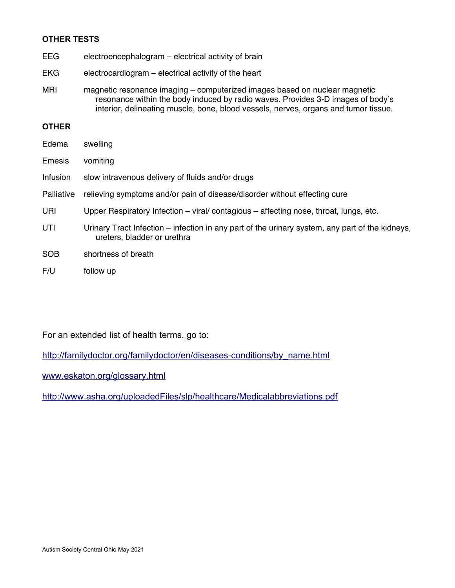### **OTHER TESTS**

| EEG          | electroencephalogram – electrical activity of brain                                                                                                                                                                                                  |
|--------------|------------------------------------------------------------------------------------------------------------------------------------------------------------------------------------------------------------------------------------------------------|
| <b>EKG</b>   | electrocardiogram – electrical activity of the heart                                                                                                                                                                                                 |
| <b>MRI</b>   | magnetic resonance imaging - computerized images based on nuclear magnetic<br>resonance within the body induced by radio waves. Provides 3-D images of body's<br>interior, delineating muscle, bone, blood vessels, nerves, organs and tumor tissue. |
| <b>OTHER</b> |                                                                                                                                                                                                                                                      |
| Edema        | swelling                                                                                                                                                                                                                                             |
| Emesis       | vomiting                                                                                                                                                                                                                                             |
| Infusion     | slow intravenous delivery of fluids and/or drugs                                                                                                                                                                                                     |
| Palliative   | relieving symptoms and/or pain of disease/disorder without effecting cure                                                                                                                                                                            |
| URI          | Upper Respiratory Infection – viral/ contagious – affecting nose, throat, lungs, etc.                                                                                                                                                                |
| UTI          | Urinary Tract Infection – infection in any part of the urinary system, any part of the kidneys,<br>ureters, bladder or urethra                                                                                                                       |
| <b>SOB</b>   | shortness of breath                                                                                                                                                                                                                                  |
| F/U          | follow up                                                                                                                                                                                                                                            |

For an extended list of health terms, go to:

[http://familydoctor.org/familydoctor/en/diseases-conditions/by\\_name.html](http://familydoctor.org/familydoctor/en/diseases-conditions/by_name.html)

[www.eskaton.org/glossary.html](http://www.eskaton.org/glossary.html)

<http://www.asha.org/uploadedFiles/slp/healthcare/Medicalabbreviations.pdf>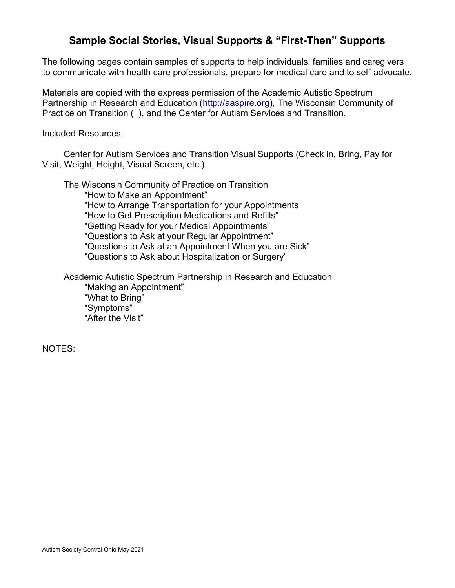# **Sample Social Stories, Visual Supports & "First-Then" Supports**

The following pages contain samples of supports to help individuals, families and caregivers to communicate with health care professionals, prepare for medical care and to self-advocate.

Materials are copied with the express permission of the Academic Autistic Spectrum Partnership in Research and Education [\(http://aaspire.org\)](http://aaspire.org/), The Wisconsin Community of Practice on Transition ( ), and the Center for Autism Services and Transition.

Included Resources:

Center for Autism Services and Transition Visual Supports (Check in, Bring, Pay for Visit, Weight, Height, Visual Screen, etc.)

The Wisconsin Community of Practice on Transition "How to Make an Appointment" "How to Arrange Transportation for your Appointments "How to Get Prescription Medications and Refills" "Getting Ready for your Medical Appointments" "Questions to Ask at your Regular Appointment" "Questions to Ask at an Appointment When you are Sick" "Questions to Ask about Hospitalization or Surgery"

Academic Autistic Spectrum Partnership in Research and Education "Making an Appointment" "What to Bring" "Symptoms" "After the Visit"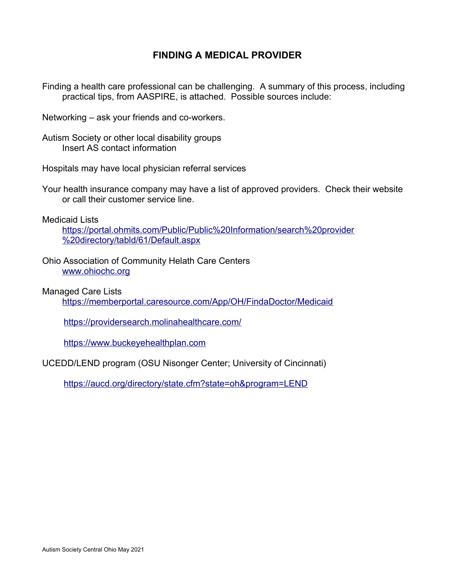# **FINDING A MEDICAL PROVIDER**

Finding a health care professional can be challenging. A summary of this process, including practical tips, from AASPIRE, is attached. Possible sources include:

Networking – ask your friends and co-workers.

Autism Society or other local disability groups Insert AS contact information

Hospitals may have local physician referral services

Your health insurance company may have a list of approved providers. Check their website or call their customer service line.

Medicaid Lists

[https://portal.ohmits.com/Public/Public%20Information/search%20provider](https://portal.ohmits.com/Public/Public%20Information/search%20provider%20directory/tabld/61/Default.aspx) [%20directory/tabld/61/Default.aspx](https://portal.ohmits.com/Public/Public%20Information/search%20provider%20directory/tabld/61/Default.aspx)

Ohio Association of Community Helath Care Centers [www.ohiochc.org](http://www.ohiochc.org/)

Managed Care Lists

<https://memberportal.caresource.com/App/OH/FindaDoctor/Medicaid>

<https://providersearch.molinahealthcare.com/>

[https://www.buckeyehealthplan.com](https://www.buckeyehealthplan.com/for-members/find-a-doctor/)

UCEDD/LEND program (OSU Nisonger Center; University of Cincinnati)

<https://aucd.org/directory/state.cfm?state=oh&program=LEND>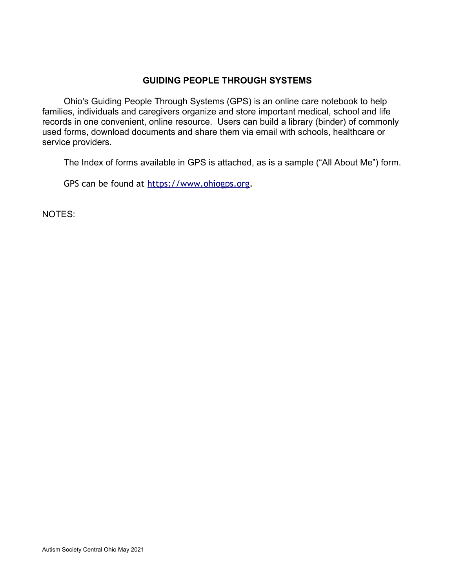## **GUIDING PEOPLE THROUGH SYSTEMS**

Ohio's Guiding People Through Systems (GPS) is an online care notebook to help families, individuals and caregivers organize and store important medical, school and life records in one convenient, online resource. Users can build a library (binder) of commonly used forms, download documents and share them via email with schools, healthcare or service providers.

The Index of forms available in GPS is attached, as is a sample ("All About Me") form.

GPS can be found at [https://www.ohiogps.org.](https://www.ohiogps.org/)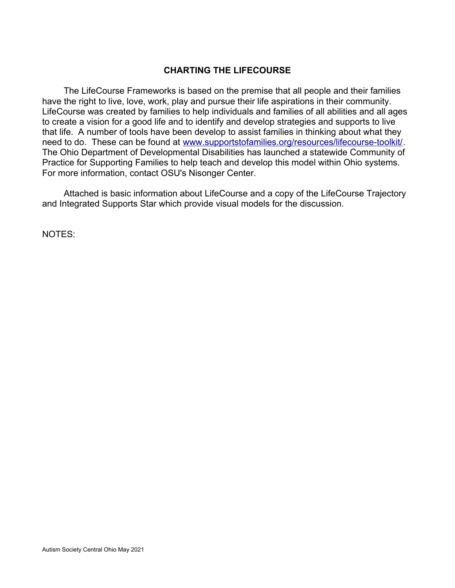## **CHARTING THE LIFECOURSE**

The LifeCourse Frameworks is based on the premise that all people and their families have the right to live, love, work, play and pursue their life aspirations in their community. LifeCourse was created by families to help individuals and families of all abilities and all ages to create a vision for a good life and to identify and develop strategies and supports to live that life. A number of tools have been develop to assist families in thinking about what they need to do. These can be found at [www.supportstofamilies.org/resources/lifecourse-toolkit/.](http://www.supportstofamilies.org/resources/lifecourse-toolkit/) The Ohio Department of Developmental Disabilities has launched a statewide Community of Practice for Supporting Families to help teach and develop this model within Ohio systems. For more information, contact OSU's Nisonger Center.

Attached is basic information about LifeCourse and a copy of the LifeCourse Trajectory and Integrated Supports Star which provide visual models for the discussion.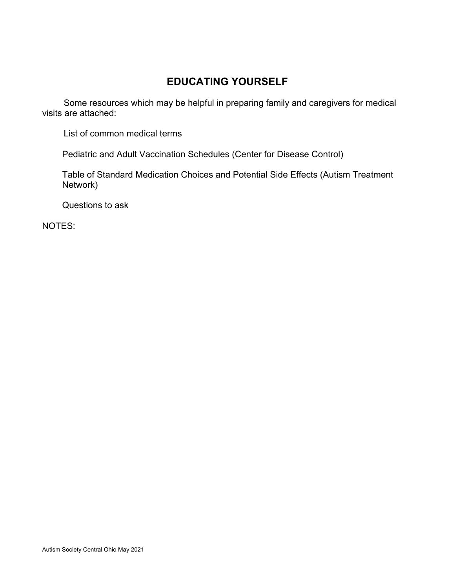# **EDUCATING YOURSELF**

Some resources which may be helpful in preparing family and caregivers for medical visits are attached:

List of common medical terms

Pediatric and Adult Vaccination Schedules (Center for Disease Control)

Table of Standard Medication Choices and Potential Side Effects (Autism Treatment Network)

Questions to ask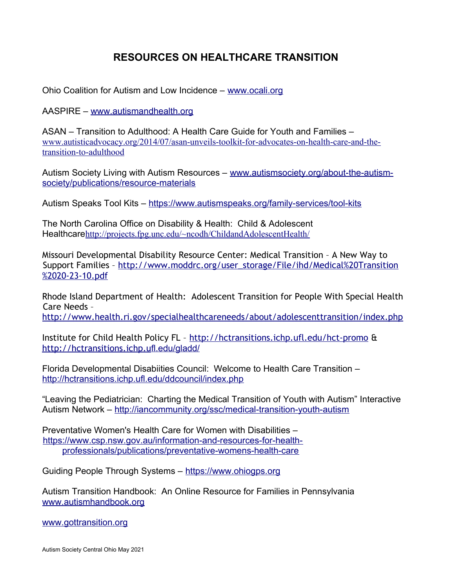# **RESOURCES ON HEALTHCARE TRANSITION**

Ohio Coalition for Autism and Low Incidence – [www.ocali.org](http://www.ocali.org/)

AASPIRE – [www.autismandhealth.org](http://www.autismandhealth.org/) 

ASAN – Transition to Adulthood: A Health Care Guide for Youth and Families – [www.autisticadvocacy.org/2014/07/asan-unveils-toolkit-for-advocates-on-health-care-and-the](http://www.autisticadvocacy.org/2014/07/asan-unveils-toolkit-for-advocates-on-health-care-and-the-transition-to-adulthood)[transition-to-adulthood](http://www.autisticadvocacy.org/2014/07/asan-unveils-toolkit-for-advocates-on-health-care-and-the-transition-to-adulthood)

Autism Society Living with Autism Resources – [www.autismsociety.org/about-the-autism](http://www.autismsociety.org/about-the-autism-society/publications/resource-materials)[society/publications/resource-materials](http://www.autismsociety.org/about-the-autism-society/publications/resource-materials)

Autism Speaks Tool Kits –<https://www.autismspeaks.org/family-services/tool-kits>

The North Carolina Office on Disability & Health: Child & Adolescent Healthcare<http://projects.fpg.unc.edu/~ncodh/ChildandAdolescentHealth/>

Missouri Developmental Disability Resource Center: Medical Transition – A New Way to Support Families - [http://www.moddrc.org/user\\_storage/File/ihd/Medical%20Transition](http://www.moddrc.org/user_storage/File/ihd/Medical%20Transition%2020-23-10.pdf) [%2020-23-10.pdf](http://www.moddrc.org/user_storage/File/ihd/Medical%20Transition%2020-23-10.pdf)

Rhode Island Department of Health: Adolescent Transition for People With Special Health Care Needs –

<http://www.health.ri.gov/specialhealthcareneeds/about/adolescenttransition/index.php>

Institute for Child Health Policy FL –<http://hctransitions.ichp.ufl.edu/hct-promo>&  [http://hctransitions.ichp.u](http://hctransitions.ichp.ufl.edu/gladd/)[fl.edu/gladd/](http://hctransitions.ichp.ufl.edu/gladd/)

Florida Developmental Disabiities Council: Welcome to Health Care Transition – <http://hctransitions.ichp.ufl.edu/ddcouncil/index.php>

"Leaving the Pediatrician: Charting the Medical Transition of Youth with Autism" Interactive Autism Network –<http://iancommunity.org/ssc/medical-transition-youth-autism>

Preventative Women's Health Care for Women with Disabilities – [https://www.csp.nsw.gov.au/information-and-resources-for-health](https://www.csp.nsw.gov.au/information-and-resources-for-health-professionals/publications/preventative-womens-health-care)[professionals/publications/preventative-womens-health-care](https://www.csp.nsw.gov.au/information-and-resources-for-health-professionals/publications/preventative-womens-health-care)

Guiding People Through Systems – [https://www.ohiogps.org](https://www.ohiogps.org/)

Autism Transition Handbook: An Online Resource for Families in Pennsylvania [www.autismhandbook.org](http://www.autismhandbook.org/)

[www.gottransition.org](http://www.gottransition.org/)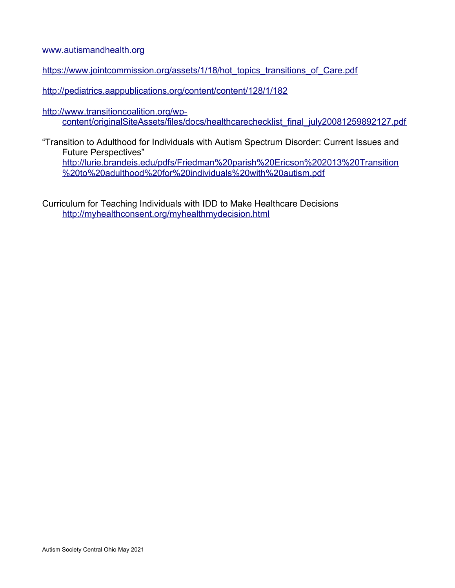[www.autismandhealth.org](http://www.autismandhealth.org/)

[https://www.jointcommission.org/assets/1/18/hot\\_topics\\_transitions\\_of\\_Care.pdf](http://www.jointcommission.org/assets/1/18/hot_topics_transitions_of_Care.pdf)

<http://pediatrics.aappublications.org/content/content/128/1/182>

[http://www.transitioncoalition.org/wp](http://www.transitioncoalition.org/wp-content/originalSiteAssets/files/docs/healthcarechecklist_final_july20081259892127.pdf)[content/originalSiteAssets/files/docs/healthcarechecklist\\_final\\_july20081259892127.pdf](http://www.transitioncoalition.org/wp-content/originalSiteAssets/files/docs/healthcarechecklist_final_july20081259892127.pdf)

"Transition to Adulthood for Individuals with Autism Spectrum Disorder: Current Issues and Future Perspectives" [http://lurie.brandeis.edu/pdfs/Friedman%20parish%20Ericson%202013%20Transition](http://lurie.brandeis.edu/pdfs/Friedman%20parish%20Ericson%202013%20Transition%20to%20adulthood%20for%20individuals%20with%20autism.pdf) [%20to%20adulthood%20for%20individuals%20with%20autism.pdf](http://lurie.brandeis.edu/pdfs/Friedman%20parish%20Ericson%202013%20Transition%20to%20adulthood%20for%20individuals%20with%20autism.pdf)

Curriculum for Teaching Individuals with IDD to Make Healthcare Decisions <http://myhealthconsent.org/myhealthmydecision.html>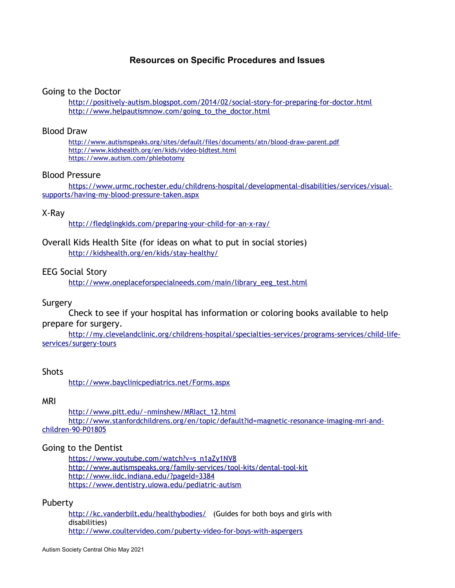## **Resources on Specific Procedures and Issues**

#### Going to the Doctor

<http://positively-autism.blogspot.com/2014/02/social-story-for-preparing-for-doctor.html> [http://www.helpautismnow.com/going\\_to\\_the\\_doctor.html](http://www.helpautismnow.com/going_to_the_doctor.html)

### Blood Draw

<http://www.autismspeaks.org/sites/default/files/documents/atn/blood-draw-parent.pdf> <http://www.kidshealth.org/en/kids/video-bldtest.htm>[l](http://www.kidshealth.org/en/kids/video-bldtest.html)  <https://www.autism.com/phlebotomy>

## Blood Pressure

[https://www.urmc.rochester.edu/childrens-hospital/developmental-disabilities/services/visual](https://www.urmc.rochester.edu/childrens-hospital/developmental-disabilities/services/visual-supports/having-my-blood-pressure-taken.aspx)[supports/having-my-blood-pressure-taken.aspx](https://www.urmc.rochester.edu/childrens-hospital/developmental-disabilities/services/visual-supports/having-my-blood-pressure-taken.aspx)

#### X-Ray

<http://fledglingkids.com/preparing-your-child-for-an-x-ray/>

Overall Kids Health Site (for ideas on what to put in social stories) <http://kidshealth.org/en/kids/stay-healthy/>

### EEG Social Story

[http://www.oneplaceforspecialneeds.com/main/library\\_eeg\\_test.html](http://www.oneplaceforspecialneeds.com/main/library_eeg_test.html)

#### Surgery

Check to see if your hospital has information or coloring books available to help prepare for surgery.

<http://my.clevelandclinic.org/childrens-hospital/specialties-services/programs-services/child->[life](http://my.clevelandclinic.org/childrens-hospital/specialties-services/programs-services/child-life-services/surgery-tours)[services/surgery-tours](http://my.clevelandclinic.org/childrens-hospital/specialties-services/programs-services/child-life-services/surgery-tours)

#### **Shots**

<http://www.bayclinicpediatrics.net/Forms.aspx>

#### MRI

[http://www.pitt.edu/~nminshew/MRIact\\_12.html](http://www.pitt.edu/~nminshew/MRIact_12.html) [http://www.stanfordchildrens.org/en/topic/default?id=magnetic-resonance-imaging-mri-and](http://www.stanfordchildrens.org/en/topic/default?id=magnetic-resonance-imaging-mri-and-children-90-P01805)[children-90-P01805](http://www.stanfordchildrens.org/en/topic/default?id=magnetic-resonance-imaging-mri-and-children-90-P01805)

#### Going to the Dentist

[https://www.youtube.com/watch?v=s\\_n1aZy1NV8](https://www.youtube.com/watch?v=s_n1aZy1NV8) <http://www.autismspeaks.org/family-services/tool-kits/dental-tool-kit> <http://www.iidc.indiana.edu/?pageId=3384> <https://www.dentistry.uiowa.edu/pediatric-autism>

#### Puberty

<http://kc.vanderbilt.edu/healthybodies/>(Guides for both boys and girls with disabilities) <http://www.coultervideo.com/puberty-video-for-boys-with-aspergers>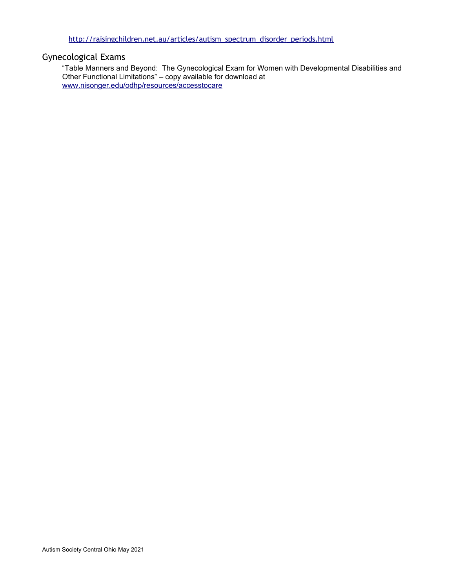[http://raisingchildren.net.au/articles/autism\\_spectrum\\_disorder\\_periods.html](http://raisingchildren.net.au/articles/autism_spectrum_disorder_periods.html)

# Gynecological Exams

"Table Manners and Beyond: The Gynecological Exam for Women with Developmental Disabilities and Other Functional Limitations" – copy available for download at [www.nisonger.edu/odhp/resources/accesstocare](http://www.nisonger.edu/odhp/resources/accesstocare)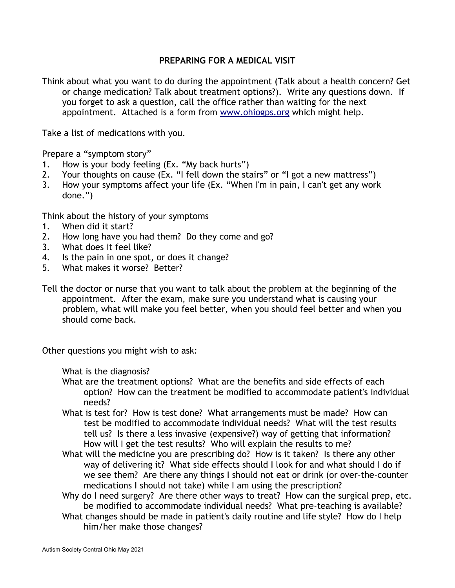## **PREPARING FOR A MEDICAL VISIT**

Think about what you want to do during the appointment (Talk about a health concern? Get or change medication? Talk about treatment options?). Write any questions down. If you forget to ask a question, call the office rather than waiting for the next appointment. Attached is a form from [www.ohiogps.org](http://www.ohiogps.org/) which might help.

Take a list of medications with you.

Prepare a "symptom story"

- 1. How is your body feeling (Ex. "My back hurts")
- 2. Your thoughts on cause (Ex. "I fell down the stairs" or "I got a new mattress")
- 3. How your symptoms affect your life (Ex. "When I'm in pain, I can't get any work done.")

Think about the history of your symptoms

- 1. When did it start?
- 2. How long have you had them? Do they come and go?
- 3. What does it feel like?
- 4. Is the pain in one spot, or does it change?
- 5. What makes it worse? Better?
- Tell the doctor or nurse that you want to talk about the problem at the beginning of the appointment. After the exam, make sure you understand what is causing your problem, what will make you feel better, when you should feel better and when you should come back.

Other questions you might wish to ask:

What is the diagnosis?

- What are the treatment options? What are the benefits and side effects of each option? How can the treatment be modified to accommodate patient's individual needs?
- What is test for? How is test done? What arrangements must be made? How can test be modified to accommodate individual needs? What will the test results tell us? Is there a less invasive (expensive?) way of getting that information? How will I get the test results? Who will explain the results to me?
- What will the medicine you are prescribing do? How is it taken? Is there any other way of delivering it? What side effects should I look for and what should I do if we see them? Are there any things I should not eat or drink (or over-the-counter medications I should not take) while I am using the prescription?
- Why do I need surgery? Are there other ways to treat? How can the surgical prep, etc. be modified to accommodate individual needs? What pre-teaching is available?
- What changes should be made in patient's daily routine and life style? How do I help him/her make those changes?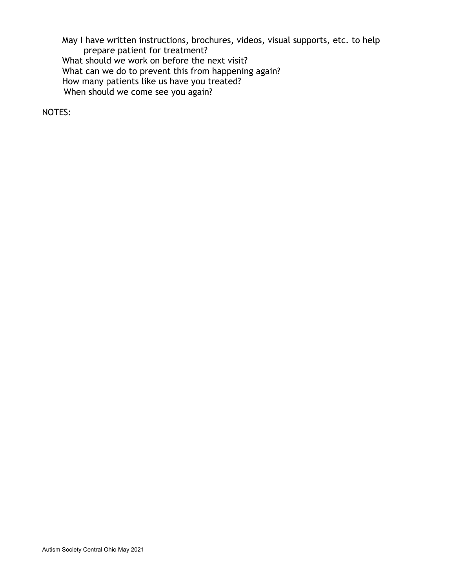May I have written instructions, brochures, videos, visual supports, etc. to help prepare patient for treatment? What should we work on before the next visit? What can we do to prevent this from happening again? How many patients like us have you treated? When should we come see you again?